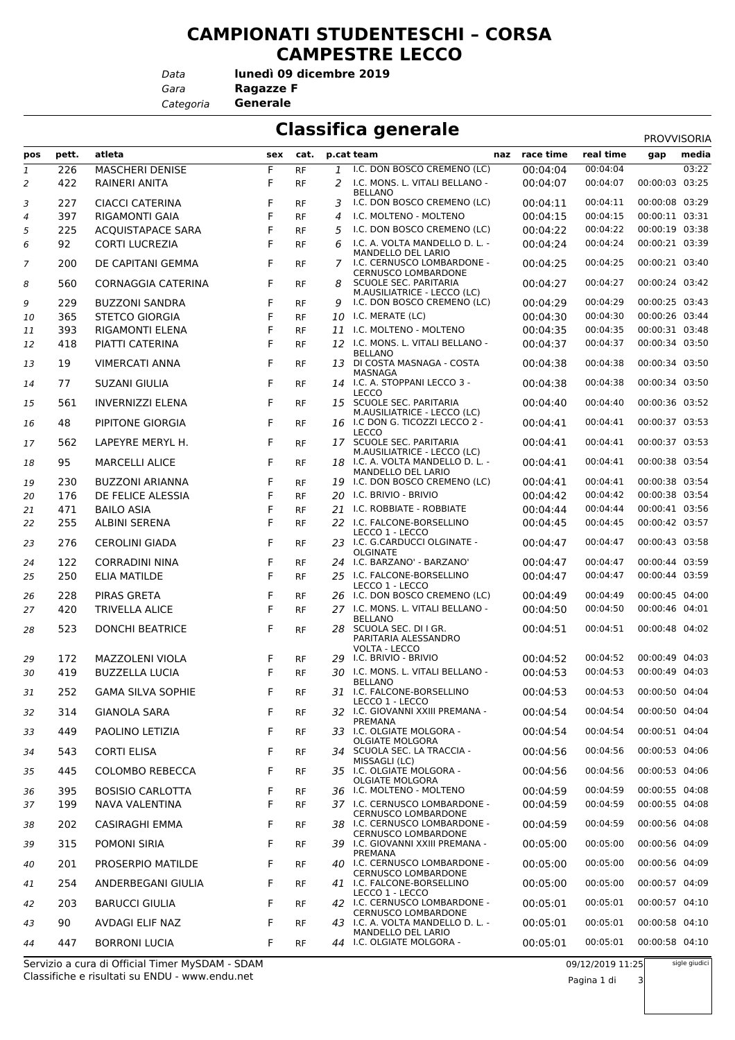## **CAMPIONATI STUDENTESCHI – CORSA CAMPESTRE LECCO**

*Data*

*Gara* **Ragazze F lunedì 09 dicembre 2019**

*Categoria* **Generale**

| <b>Classifica generale</b><br><b>PROVVISORIA</b> |            |                                              |        |                        |               |                                                                                |                      |                      |                                  |       |
|--------------------------------------------------|------------|----------------------------------------------|--------|------------------------|---------------|--------------------------------------------------------------------------------|----------------------|----------------------|----------------------------------|-------|
| pos                                              | pett.      | atleta                                       | sex    | cat.                   |               | p.cat team                                                                     | naz race time        | real time            | gap                              | media |
| 1                                                | 226        | <b>MASCHERI DENISE</b>                       | F      | <b>RF</b>              | $\mathbf{1}$  | I.C. DON BOSCO CREMENO (LC)                                                    | 00:04:04             | 00:04:04             |                                  | 03:22 |
| 2                                                | 422        | RAINERI ANITA                                | F      | <b>RF</b>              | $\mathcal{P}$ | I.C. MONS. L. VITALI BELLANO -<br><b>BELLANO</b>                               | 00:04:07             | 00:04:07             | 00:00:03                         | 03:25 |
| 3                                                | 227        | <b>CIACCI CATERINA</b>                       | F      | <b>RF</b>              | 3             | I.C. DON BOSCO CREMENO (LC)                                                    | 00:04:11             | 00:04:11             | 00:00:08 03:29                   |       |
| 4                                                | 397        | <b>RIGAMONTI GAIA</b>                        | F      | RF                     | 4             | I.C. MOLTENO - MOLTENO                                                         | 00:04:15             | 00:04:15             | 00:00:11 03:31                   |       |
| 5                                                | 225        | <b>ACQUISTAPACE SARA</b>                     | F      | <b>RF</b>              | 5             | I.C. DON BOSCO CREMENO (LC)                                                    | 00:04:22             | 00:04:22             | 00:00:19 03:38                   |       |
| 6                                                | 92         | <b>CORTI LUCREZIA</b>                        | F      | <b>RF</b>              | 6             | I.C. A. VOLTA MANDELLO D. L. -<br>MANDELLO DEL LARIO                           | 00:04:24             | 00:04:24             | 00:00:21 03:39                   |       |
| 7                                                | 200        | DE CAPITANI GEMMA                            | F      | <b>RF</b>              | 7             | I.C. CERNUSCO LOMBARDONE -<br><b>CERNUSCO LOMBARDONE</b>                       | 00:04:25             | 00:04:25             | 00:00:21 03:40                   |       |
| 8                                                | 560        | <b>CORNAGGIA CATERINA</b>                    | F      | RF                     |               | <b>SCUOLE SEC. PARITARIA</b><br>M.AUSILIATRICE - LECCO (LC)                    | 00:04:27             | 00:04:27             | 00:00:24 03:42                   |       |
| 9                                                | 229        | <b>BUZZONI SANDRA</b>                        | F      | <b>RF</b>              | 9             | I.C. DON BOSCO CREMENO (LC)                                                    | 00:04:29             | 00:04:29             | 00:00:25 03:43                   |       |
| 10                                               | 365        | <b>STETCO GIORGIA</b>                        | F      | <b>RF</b>              |               | 10 I.C. MERATE (LC)                                                            | 00:04:30             | 00:04:30             | 00:00:26 03:44                   |       |
| 11                                               | 393        | <b>RIGAMONTI ELENA</b>                       | F<br>F | <b>RF</b>              | 11            | I.C. MOLTENO - MOLTENO<br>12 I.C. MONS. L. VITALI BELLANO -                    | 00:04:35             | 00:04:35<br>00:04:37 | 00:00:31 03:48<br>00:00:34 03:50 |       |
| 12                                               | 418        | PIATTI CATERINA                              |        | <b>RF</b>              |               | <b>BELLANO</b>                                                                 | 00:04:37             |                      |                                  |       |
| 13                                               | 19         | <b>VIMERCATI ANNA</b>                        | F      | <b>RF</b>              |               | 13 DI COSTA MASNAGA - COSTA<br>MASNAGA                                         | 00:04:38             | 00:04:38             | 00:00:34 03:50                   |       |
| 14                                               | 77         | <b>SUZANI GIULIA</b>                         | F      | RF                     |               | 14 I.C. A. STOPPANI LECCO 3 -<br>LECCO                                         | 00:04:38             | 00:04:38             | 00:00:34 03:50                   |       |
| 15                                               | 561        | <b>INVERNIZZI ELENA</b>                      | F      | <b>RF</b>              |               | 15 SCUOLE SEC. PARITARIA<br>M.AUSILIATRICE - LECCO (LC)                        | 00:04:40             | 00:04:40             | 00:00:36 03:52                   |       |
| 16                                               | 48         | PIPITONE GIORGIA                             | F      | <b>RF</b>              |               | 16 I.C DON G. TICOZZI LECCO 2 -<br>LECCO                                       | 00:04:41             | 00:04:41             | 00:00:37 03:53                   |       |
| 17                                               | 562        | LAPEYRE MERYL H.                             | F      | RF                     |               | 17 SCUOLE SEC. PARITARIA<br>M.AUSILIATRICE - LECCO (LC)                        | 00:04:41             | 00:04:41             | 00:00:37 03:53                   |       |
| 18                                               | 95         | <b>MARCELLI ALICE</b>                        | F      | <b>RF</b>              |               | 18 I.C. A. VOLTA MANDELLO D. L. -<br>MANDELLO DEL LARIO                        | 00:04:41             | 00:04:41             | 00:00:38 03:54                   |       |
| 19                                               | 230        | <b>BUZZONI ARIANNA</b>                       | F      | RF                     |               | 19 I.C. DON BOSCO CREMENO (LC)                                                 | 00:04:41             | 00:04:41             | 00:00:38 03:54                   |       |
| 20                                               | 176        | DE FELICE ALESSIA                            | F      | <b>RF</b>              |               | 20 I.C. BRIVIO - BRIVIO                                                        | 00:04:42             | 00:04:42             | 00:00:38 03:54<br>00:00:41 03:56 |       |
| 21<br>22                                         | 471<br>255 | <b>BAILO ASIA</b><br><b>ALBINI SERENA</b>    | F<br>F | <b>RF</b><br><b>RF</b> |               | 21 I.C. ROBBIATE - ROBBIATE<br>22 I.C. FALCONE-BORSELLINO                      | 00:04:44<br>00:04:45 | 00:04:44<br>00:04:45 | 00:00:42 03:57                   |       |
| 23                                               | 276        | <b>CEROLINI GIADA</b>                        | F      | RF                     |               | LECCO 1 - LECCO<br>23 I.C. G.CARDUCCI OLGINATE -                               | 00:04:47             | 00:04:47             | 00:00:43 03:58                   |       |
|                                                  |            |                                              |        |                        |               | <b>OLGINATE</b>                                                                |                      |                      |                                  |       |
| 24                                               | 122<br>250 | <b>CORRADINI NINA</b><br><b>ELIA MATILDE</b> | F<br>F | <b>RF</b><br><b>RF</b> |               | 24 I.C. BARZANO' - BARZANO'<br>25 I.C. FALCONE-BORSELLINO                      | 00:04:47<br>00:04:47 | 00:04:47<br>00:04:47 | 00:00:44 03:59<br>00:00:44 03:59 |       |
| 25                                               |            |                                              |        |                        |               | LECCO 1 - LECCO                                                                |                      |                      |                                  |       |
| 26                                               | 228        | PIRAS GRETA                                  | F      | <b>RF</b>              |               | 26 I.C. DON BOSCO CREMENO (LC)                                                 | 00:04:49             | 00:04:49             | 00:00:45 04:00                   |       |
| 27                                               | 420        | <b>TRIVELLA ALICE</b>                        | F      | <b>RF</b>              |               | 27 I.C. MONS. L. VITALI BELLANO -<br><b>BELLANO</b>                            | 00:04:50             | 00:04:50             | 00:00:46 04:01                   |       |
| 28                                               | 523        | <b>DONCHI BEATRICE</b>                       | F      | <b>RF</b>              |               | 28 SCUOLA SEC. DI I GR.<br>PARITARIA ALESSANDRO                                | 00:04:51             | 00:04:51             | 00:00:48 04:02                   |       |
| 29                                               | 172        | MAZZOLENI VIOLA                              | F      | <b>RF</b>              |               | VOLTA - LECCO<br>29 I.C. BRIVIO - BRIVIO                                       | 00:04:52             | 00:04:52             | 00:00:49 04:03                   |       |
| 30                                               | 419        | <b>BUZZELLA LUCIA</b>                        | F      | RF                     |               | 30 I.C. MONS. L. VITALI BELLANO -                                              | 00:04:53             | 00:04:53             | 00:00:49 04:03                   |       |
|                                                  |            |                                              |        |                        |               | <b>BELLANO</b>                                                                 |                      |                      |                                  |       |
| 31                                               | 252        | <b>GAMA SILVA SOPHIE</b>                     | F      | RF                     |               | 31 I.C. FALCONE-BORSELLINO<br>LECCO 1 - LECCO                                  | 00:04:53             | 00:04:53             | 00:00:50 04:04                   |       |
| 32                                               | 314        | <b>GIANOLA SARA</b>                          | F      | <b>RF</b>              |               | 32 I.C. GIOVANNI XXIII PREMANA -<br>PREMANA                                    | 00:04:54             | 00:04:54             | 00:00:50 04:04                   |       |
| 33                                               | 449        | PAOLINO LETIZIA                              | F      | RF                     |               | 33 I.C. OLGIATE MOLGORA -<br><b>OLGIATE MOLGORA</b>                            | 00:04:54             | 00:04:54             | 00:00:51 04:04                   |       |
| 34                                               | 543        | <b>CORTI ELISA</b>                           | F      | <b>RF</b>              |               | 34 SCUOLA SEC. LA TRACCIA -<br>MISSAGLI (LC)                                   | 00:04:56             | 00:04:56             | 00:00:53 04:06                   |       |
| 35                                               | 445        | <b>COLOMBO REBECCA</b>                       | F      | <b>RF</b>              |               | 35 I.C. OLGIATE MOLGORA -<br><b>OLGIATE MOLGORA</b>                            | 00:04:56             | 00:04:56             | 00:00:53 04:06                   |       |
| 36                                               | 395        | <b>BOSISIO CARLOTTA</b>                      | F      | RF                     |               | 36 I.C. MOLTENO - MOLTENO                                                      | 00:04:59             | 00:04:59             | 00:00:55 04:08                   |       |
| 37                                               | 199        | NAVA VALENTINA                               | F      | <b>RF</b>              |               | 37 I.C. CERNUSCO LOMBARDONE -<br><b>CERNUSCO LOMBARDONE</b>                    | 00:04:59             | 00:04:59             | 00:00:55 04:08                   |       |
| 38                                               | 202        | <b>CASIRAGHI EMMA</b>                        | F      | RF                     |               | 38 I.C. CERNUSCO LOMBARDONE -<br><b>CERNUSCO LOMBARDONE</b>                    | 00:04:59             | 00:04:59             | 00:00:56 04:08                   |       |
| 39                                               | 315        | POMONI SIRIA                                 | F      | <b>RF</b>              |               | 39 I.C. GIOVANNI XXIII PREMANA -<br>PREMANA                                    | 00:05:00             | 00:05:00             | 00:00:56 04:09                   |       |
| 40                                               | 201        | PROSERPIO MATILDE                            | F      | <b>RF</b>              |               | 40 I.C. CERNUSCO LOMBARDONE -<br><b>CERNUSCO LOMBARDONE</b>                    | 00:05:00             | 00:05:00             | 00:00:56 04:09                   |       |
| 41                                               | 254        | ANDERBEGANI GIULIA                           | F      | <b>RF</b>              |               | 41 I.C. FALCONE-BORSELLINO                                                     | 00:05:00             | 00:05:00             | 00:00:57 04:09                   |       |
| 42                                               | 203        | <b>BARUCCI GIULIA</b>                        | F      | <b>RF</b>              |               | LECCO 1 - LECCO<br>42 I.C. CERNUSCO LOMBARDONE -<br><b>CERNUSCO LOMBARDONE</b> | 00:05:01             | 00:05:01             | 00:00:57 04:10                   |       |
| 43                                               | 90         | AVDAGI ELIF NAZ                              | F      | <b>RF</b>              |               | 43 I.C. A. VOLTA MANDELLO D. L. -<br>MANDELLO DEL LARIO                        | 00:05:01             | 00:05:01             | 00:00:58 04:10                   |       |
| 44                                               | 447        | <b>BORRONI LUCIA</b>                         | F      | <b>RF</b>              |               | 44 I.C. OLGIATE MOLGORA -                                                      | 00:05:01             | 00:05:01             | 00:00:58 04:10                   |       |

Classifiche e risultati su ENDU - www.endu.net Servizio a cura di Official Timer MySDAM - SDAM

sigle giudici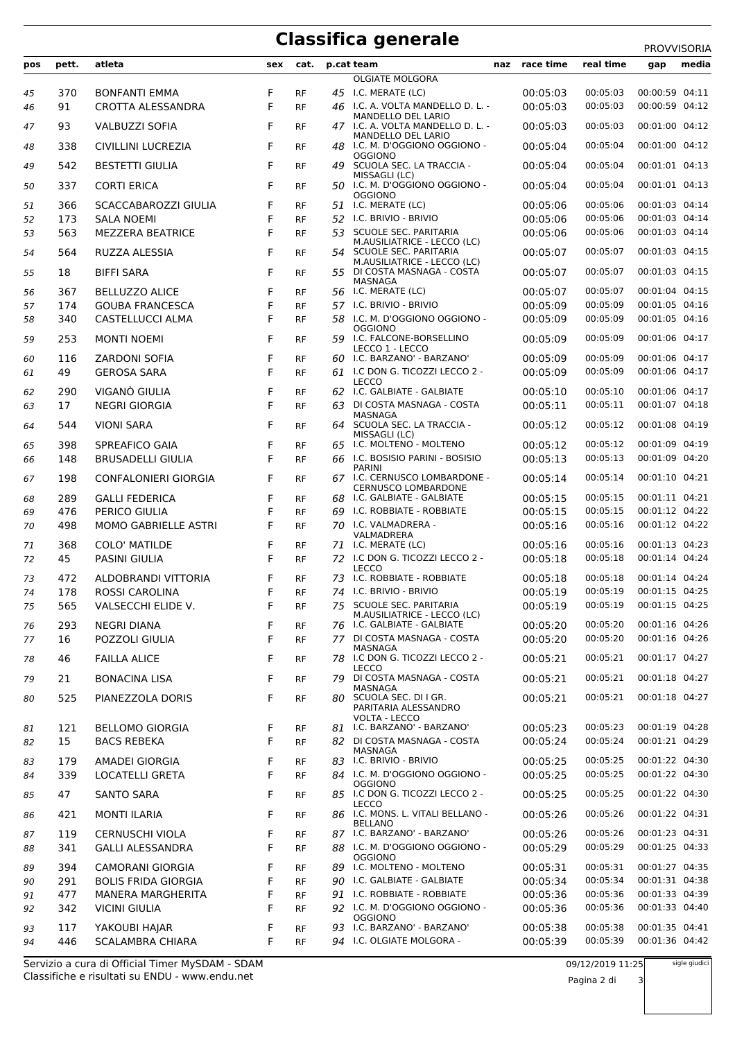## **Classifica generale** PROVISORIA

|          |            |                                                   |     |                        |    |                                                                  |     |           |           | <b>PROVVISORIA</b> |       |
|----------|------------|---------------------------------------------------|-----|------------------------|----|------------------------------------------------------------------|-----|-----------|-----------|--------------------|-------|
| pos      | pett.      | atleta                                            | sex | cat.                   |    | p.cat team                                                       | naz | race time | real time | gap                | media |
|          |            |                                                   |     |                        |    | <b>OLGIATE MOLGORA</b>                                           |     |           |           |                    |       |
| 45       | 370        | <b>BONFANTI EMMA</b>                              | F   | <b>RF</b>              |    | 45 I.C. MERATE (LC)                                              |     | 00:05:03  | 00:05:03  | 00:00:59 04:11     |       |
| 46       | 91         | CROTTA ALESSANDRA                                 | F   | <b>RF</b>              |    | 46 I.C. A. VOLTA MANDELLO D. L. -<br><b>MANDELLO DEL LARIO</b>   |     | 00:05:03  | 00:05:03  | 00:00:59 04:12     |       |
| 47       | 93         | <b>VALBUZZI SOFIA</b>                             | F   | <b>RF</b>              |    | 47 I.C. A. VOLTA MANDELLO D. L. -<br>MANDELLO DEL LARIO          |     | 00:05:03  | 00:05:03  | 00:01:00 04:12     |       |
| 48       | 338        | CIVILLINI LUCREZIA                                | F   | <b>RF</b>              |    | 48 I.C. M. D'OGGIONO OGGIONO -<br><b>OGGIONO</b>                 |     | 00:05:04  | 00:05:04  | 00:01:00 04:12     |       |
| 49       | 542        | <b>BESTETTI GIULIA</b>                            | F   | <b>RF</b>              | 49 | SCUOLA SEC. LA TRACCIA -<br>MISSAGLI (LC)                        |     | 00:05:04  | 00:05:04  | 00:01:01 04:13     |       |
| 50       | 337        | <b>CORTI ERICA</b>                                | F   | <b>RF</b>              |    | 50 I.C. M. D'OGGIONO OGGIONO -<br><b>OGGIONO</b>                 |     | 00:05:04  | 00:05:04  | 00:01:01 04:13     |       |
| 51       | 366        | SCACCABAROZZI GIULIA                              | F   | <b>RF</b>              |    | 51 I.C. MERATE (LC)                                              |     | 00:05:06  | 00:05:06  | 00:01:03 04:14     |       |
| 52       | 173        | <b>SALA NOEMI</b>                                 | F   | <b>RF</b>              |    | 52 I.C. BRIVIO - BRIVIO                                          |     | 00:05:06  | 00:05:06  | 00:01:03 04:14     |       |
| 53       | 563        | <b>MEZZERA BEATRICE</b>                           | F   | <b>RF</b>              | 53 | SCUOLE SEC. PARITARIA                                            |     | 00:05:06  | 00:05:06  | 00:01:03 04:14     |       |
| 54       | 564        | RUZZA ALESSIA                                     | F   | <b>RF</b>              | 54 | M.AUSILIATRICE - LECCO (LC)<br>SCUOLE SEC. PARITARIA             |     | 00:05:07  | 00:05:07  | 00:01:03 04:15     |       |
| 55       | 18         | <b>BIFFI SARA</b>                                 | F   | RF                     |    | M.AUSILIATRICE - LECCO (LC)<br>55 DI COSTA MASNAGA - COSTA       |     | 00:05:07  | 00:05:07  | 00:01:03 04:15     |       |
| 56       | 367        | <b>BELLUZZO ALICE</b>                             | F   | <b>RF</b>              |    | MASNAGA<br>56 I.C. MERATE (LC)                                   |     | 00:05:07  | 00:05:07  | 00:01:04 04:15     |       |
| 57       | 174        | <b>GOUBA FRANCESCA</b>                            | F   | <b>RF</b>              |    | 57 I.C. BRIVIO - BRIVIO                                          |     | 00:05:09  | 00:05:09  | 00:01:05 04:16     |       |
| 58       | 340        | <b>CASTELLUCCI ALMA</b>                           | F   | <b>RF</b>              | 58 | I.C. M. D'OGGIONO OGGIONO -                                      |     | 00:05:09  | 00:05:09  | 00:01:05 04:16     |       |
| 59       | 253        | <b>MONTI NOEMI</b>                                | F   | RF                     |    | <b>OGGIONO</b><br>59 I.C. FALCONE-BORSELLINO                     |     | 00:05:09  | 00:05:09  | 00:01:06 04:17     |       |
|          |            |                                                   |     |                        |    | LECCO 1 - LECCO                                                  |     |           |           |                    |       |
| 60       | 116        | <b>ZARDONI SOFIA</b>                              | F   | <b>RF</b>              | 60 | I.C. BARZANO' - BARZANO'                                         |     | 00:05:09  | 00:05:09  | 00:01:06 04:17     |       |
| 61       | 49         | <b>GEROSA SARA</b>                                | F   | <b>RF</b>              |    | 61 I.C DON G. TICOZZI LECCO 2 -<br>LECCO                         |     | 00:05:09  | 00:05:09  | 00:01:06 04:17     |       |
| 62       | 290        | VIGANÒ GIULIA                                     | F   | <b>RF</b>              |    | 62 I.C. GALBIATE - GALBIATE                                      |     | 00:05:10  | 00:05:10  | 00:01:06 04:17     |       |
| 63       | 17         | <b>NEGRI GIORGIA</b>                              | F   | <b>RF</b>              | 63 | DI COSTA MASNAGA - COSTA                                         |     | 00:05:11  | 00:05:11  | 00:01:07 04:18     |       |
| 64       | 544        | <b>VIONI SARA</b>                                 | F   | <b>RF</b>              |    | MASNAGA<br>64 SCUOLA SEC. LA TRACCIA -                           |     | 00:05:12  | 00:05:12  | 00:01:08 04:19     |       |
| 65       | 398        | SPREAFICO GAIA                                    | F   | <b>RF</b>              | 65 | MISSAGLI (LC)<br>I.C. MOLTENO - MOLTENO                          |     | 00:05:12  | 00:05:12  | 00:01:09 04:19     |       |
| 66       | 148        | <b>BRUSADELLI GIULIA</b>                          | F   | <b>RF</b>              |    | 66 I.C. BOSISIO PARINI - BOSISIO                                 |     | 00:05:13  | 00:05:13  | 00:01:09 04:20     |       |
| 67       | 198        | <b>CONFALONIERI GIORGIA</b>                       | F   | <b>RF</b>              |    | <b>PARINI</b><br>67 I.C. CERNUSCO LOMBARDONE -                   |     | 00:05:14  | 00:05:14  | 00:01:10 04:21     |       |
| 68       | 289        | <b>GALLI FEDERICA</b>                             | F   | <b>RF</b>              |    | <b>CERNUSCO LOMBARDONE</b><br>68 I.C. GALBIATE - GALBIATE        |     | 00:05:15  | 00:05:15  | 00:01:11 04:21     |       |
| 69       | 476        | PERICO GIULIA                                     | F   | <b>RF</b>              | 69 | I.C. ROBBIATE - ROBBIATE                                         |     | 00:05:15  | 00:05:15  | 00:01:12 04:22     |       |
| 70       | 498        | MOMO GABRIELLE ASTRI                              | F   | <b>RF</b>              |    | 70 I.C. VALMADRERA -                                             |     | 00:05:16  | 00:05:16  | 00:01:12 04:22     |       |
|          |            | <b>COLO' MATILDE</b>                              | F   |                        |    | VALMADRERA<br>71 I.C. MERATE (LC)                                |     | 00:05:16  | 00:05:16  | 00:01:13 04:23     |       |
| 71<br>72 | 368<br>45  | <b>PASINI GIULIA</b>                              | F   | <b>RF</b><br><b>RF</b> |    | 72 I.C DON G. TICOZZI LECCO 2 -                                  |     | 00:05:18  | 00:05:18  | 00:01:14 04:24     |       |
|          |            |                                                   |     |                        |    | LECCO                                                            |     |           |           |                    |       |
| 73       | 472        | ALDOBRANDI VITTORIA                               | F   | <b>RF</b>              | 73 | I.C. ROBBIATE - ROBBIATE                                         |     | 00:05:18  | 00:05:18  | 00:01:14 04:24     |       |
| 74       | 178        | <b>ROSSI CAROLINA</b>                             | F   | <b>RF</b>              |    | 74 I.C. BRIVIO - BRIVIO                                          |     | 00:05:19  | 00:05:19  | 00:01:15 04:25     |       |
| 75       | 565        | VALSECCHI ELIDE V.                                | F   | RF                     |    | 75 SCUOLE SEC. PARITARIA<br>M.AUSILIATRICE - LECCO (LC)          |     | 00:05:19  | 00:05:19  | 00:01:15 04:25     |       |
| 76       | 293        | <b>NEGRI DIANA</b>                                | F   | <b>RF</b>              |    | 76 I.C. GALBIATE - GALBIATE                                      |     | 00:05:20  | 00:05:20  | 00:01:16 04:26     |       |
| 77       | 16         | POZZOLI GIULIA                                    | F   | <b>RF</b>              |    | 77 DI COSTA MASNAGA - COSTA<br>MASNAGA                           |     | 00:05:20  | 00:05:20  | 00:01:16 04:26     |       |
| 78       | 46         | <b>FAILLA ALICE</b>                               | F   | RF                     |    | 78 I.C DON G. TICOZZI LECCO 2 -<br>LECCO                         |     | 00:05:21  | 00:05:21  | 00:01:17 04:27     |       |
| 79       | 21         | <b>BONACINA LISA</b>                              | F   | <b>RF</b>              |    | 79 DI COSTA MASNAGA - COSTA<br>MASNAGA                           |     | 00:05:21  | 00:05:21  | 00:01:18 04:27     |       |
| 80       | 525        | PIANEZZOLA DORIS                                  | F   | <b>RF</b>              |    | 80 SCUOLA SEC. DI I GR.<br>PARITARIA ALESSANDRO<br>VOLTA - LECCO |     | 00:05:21  | 00:05:21  | 00:01:18 04:27     |       |
| 81       | 121        | <b>BELLOMO GIORGIA</b>                            | F   | RF                     |    | 81 I.C. BARZANO' - BARZANO'                                      |     | 00:05:23  | 00:05:23  | 00:01:19 04:28     |       |
| 82       | 15         | <b>BACS REBEKA</b>                                | F   | <b>RF</b>              | 82 | DI COSTA MASNAGA - COSTA                                         |     | 00:05:24  | 00:05:24  | 00:01:21 04:29     |       |
| 83       | 179        | AMADEI GIORGIA                                    | F   | RF                     |    | MASNAGA<br>83 I.C. BRIVIO - BRIVIO                               |     | 00:05:25  | 00:05:25  | 00:01:22 04:30     |       |
| 84       | 339        | LOCATELLI GRETA                                   | F   | <b>RF</b>              |    | 84 I.C. M. D'OGGIONO OGGIONO -                                   |     | 00:05:25  | 00:05:25  | 00:01:22 04:30     |       |
| 85       | 47         | <b>SANTO SARA</b>                                 | F   | RF                     |    | <b>OGGIONO</b><br>85 I.C DON G. TICOZZI LECCO 2 -                |     | 00:05:25  | 00:05:25  | 00:01:22 04:30     |       |
| 86       | 421        | <b>MONTI ILARIA</b>                               | F   | RF                     |    | <b>LECCO</b><br>86 I.C. MONS. L. VITALI BELLANO -                |     | 00:05:26  | 00:05:26  | 00:01:22 04:31     |       |
|          |            |                                                   | F   |                        |    | <b>BELLANO</b><br>87 I.C. BARZANO' - BARZANO'                    |     | 00:05:26  | 00:05:26  | 00:01:23 04:31     |       |
| 87<br>88 | 119<br>341 | <b>CERNUSCHI VIOLA</b><br><b>GALLI ALESSANDRA</b> | F   | <b>RF</b><br><b>RF</b> |    | 88 I.C. M. D'OGGIONO OGGIONO -                                   |     | 00:05:29  | 00:05:29  | 00:01:25 04:33     |       |
| 89       | 394        | CAMORANI GIORGIA                                  | F   | <b>RF</b>              |    | <b>OGGIONO</b><br>89 I.C. MOLTENO - MOLTENO                      |     | 00:05:31  | 00:05:31  | 00:01:27 04:35     |       |
| 90       | 291        | <b>BOLIS FRIDA GIORGIA</b>                        | F   | <b>RF</b>              |    | 90 I.C. GALBIATE - GALBIATE                                      |     | 00:05:34  | 00:05:34  | 00:01:31 04:38     |       |
| 91       | 477        | <b>MANERA MARGHERITA</b>                          | F   | RF                     |    | 91 I.C. ROBBIATE - ROBBIATE                                      |     | 00:05:36  | 00:05:36  | 00:01:33 04:39     |       |
| 92       | 342        | <b>VICINI GIULIA</b>                              | F   | <b>RF</b>              |    | 92 I.C. M. D'OGGIONO OGGIONO -                                   |     | 00:05:36  | 00:05:36  | 00:01:33 04:40     |       |
|          | 117        | YAKOUBI HAJAR                                     | F   |                        |    | <b>OGGIONO</b><br>93 I.C. BARZANO' - BARZANO'                    |     | 00:05:38  | 00:05:38  | 00:01:35 04:41     |       |
| 93<br>94 | 446        | <b>SCALAMBRA CHIARA</b>                           | F   | RF<br><b>RF</b>        |    | 94 I.C. OLGIATE MOLGORA -                                        |     | 00:05:39  | 00:05:39  | 00:01:36 04:42     |       |

Classifiche e risultati su ENDU - www.endu.net Servizio a cura di Official Timer MySDAM - SDAM

## sigle giudici